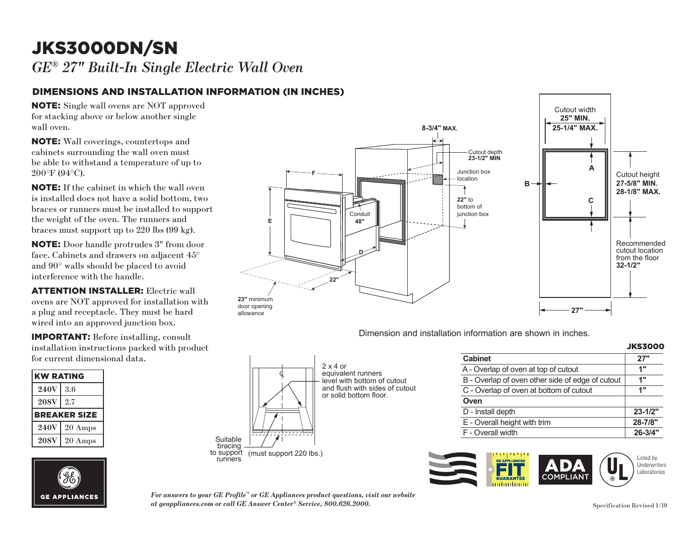## JKS3000DN/SN **F** *GE® 27" Built-In Single Electric Wall Oven*

#### DIMENSIONS AND INSTALLATION INFORMATION (IN INCHES) lnes)

NOTE: Single wall ovens are NOT approved for stacking above or below another single wall oven.

NOTE: Wall coverings, countertops and cabinets surrounding the wall oven must **D** be able to withstand a temperature of up to 200°F (94°C).

NOTE: If the cabinet in which the wall oven **22.** If the cabinet in which the wan oven<br>is installed does not have a solid bottom, two braces or runners must be installed to support the weight of the oven. The runners and braces must support up to  $220$  lbs  $(99 \text{ kg})$ .

NOTE: Door handle protrudes 3" from door face. Cabinets and drawers on adjacent 45° and 90° walls should be placed to avoid interference with the handle.

**ATTENTION INSTALLER:** Electric wall ovens are NOT approved for installation with a plug and receptacle. They must be hard wired into an approved junction box.  $\alpha$ .

IMPORTANT: Before installing, consult installation instructions packed with product for current dimensional data.  $\frac{1}{2}$ 

| <b>KW RATING</b> |              |
|------------------|--------------|
| <b>240V</b>      | 3.6          |
| <b>208V</b>      | 2.7          |
|                  | BREAKER SIZE |
| <b>240V</b>      | 20 Amps      |
| <b>208V</b>      | 20 Amps      |





Dimension and installation information are shown in inches.

|                                                  | <b>JKS3000</b> |  |
|--------------------------------------------------|----------------|--|
| <b>Cabinet</b>                                   | 27"            |  |
| A - Overlap of oven at top of cutout             | 1"             |  |
| B - Overlap of oven other side of edge of cutout | 1"             |  |
| C - Overlap of oven at bottom of cutout          | 1"             |  |
| Oven                                             |                |  |
| D - Install depth                                | $23 - 1/2"$    |  |
| E - Overall height with trim                     | 28-7/8"        |  |
| F - Overall width                                | $26 - 3/4"$    |  |



*For answers to your GE Profile™ or GE Appliances product questions, visit our website at geappliances.com or call GE Answer Center® Service, 800.626.2000.* Specification Revised 1/19

bracing  $\overline{\phantom{a}}$ <br>to support (must support 220 lbs.)<br>runners

Ç

 $\!$ 

 $\begin{bmatrix} \frac{1}{2} & \frac{1}{2} & \frac{1}{2} & \frac{1}{2} & \frac{1}{2} \\ \frac{1}{2} & \frac{1}{2} & \frac{1}{2} & \frac{1}{2} \\ \frac{1}{2} & \frac{1}{2} & \frac{1}{2} & \frac{1}{2} \end{bmatrix}$ 

Suitable<br>bracing

 $2 \times 4$  or equivalent runners equivalent bottom of cutout

and flush with sides of cutout or solid bottom floor.  $UCTAA$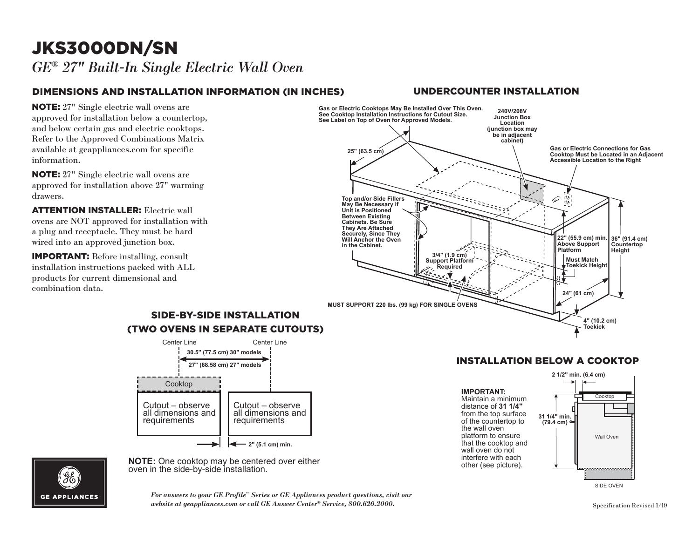## JKS3000DN/SN *GE® 27" Built-In Single Electric Wall Oven*

### DIMENSIONS AND INSTALLATION INFORMATION (IN INCHES)

**NOTE:** 27" Single electric wall ovens are approved for installation below a countertop, and below certain gas and electric cooktops. Refer to the Approved Combinations Matrix available at geappliances.com for specific information.

NOTE: 27" Single electric wall ovens are approved for installation above 27" warming drawers. **Top and/or Side Fillers** 

**ATTENTION INSTALLER:** Electric wall **CONSIDER AND IS CONSIDERED** MALE OVERSIDE MELTIC OPEN DISPONSIBLE ON A SURFACE AND NOTE AT A SURFACE SURFACE AND NOTE AT A SURFACE AND NOTE AT A SURFACE AND NOTE AT A SURFACE AND NOTE AT A SURFACE AND NOTE AT A SURFACE AN a plug and receptacle. They must be hard wired into an approved junction box.

IMPORTANT: Before installing, consult installation instructions packed with ALL products for current dimensional and combination data.



**GE APPLIANCES** 

**Note:**  $\frac{1}{2}$  contribution. **NOTE:** One cooktop may be centered over either oven in the side-by-side installation.

*For answers to your GE Profile™ Series or GE Appliances product questions, visit our*<br>website at aeappliances com or call GE Answer Center® Service, 800,696,9000 *website at geappliances.com or call GE Answer Center® Service, 800.626.2000.* Specification Revised 1/19

#### UNDERCOUNTER INSTALLATION



#### INSTALLATION BELOW A COOKTOP Cooktop

Maintain a minimum  $\uparrow$ distance of 31 1/4" from the top surface  $\frac{31.1}{4}$  mi platform to ensure that the cooktop and of the countertop to **IMPORTANT:**  the wall oven wall oven do not interfere with each other (see picture).